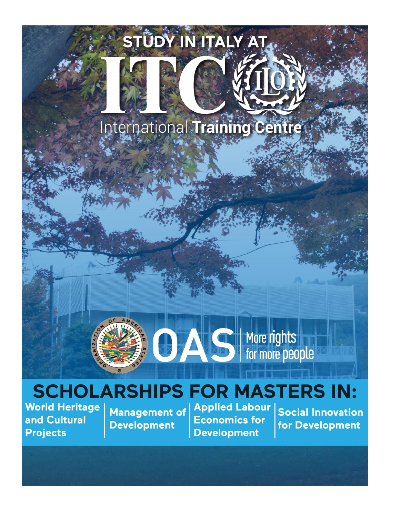# STÛDY IN ITALY AT.

# International Training Centre



More rights for more people

# **SCHOLARSHIPS FOR MASTERS IN:**

**World Heritage** and Cultural **Projects** 

**Management of Development** 

**Applied Labour Economics for Development** 

**Social Innovation** for Development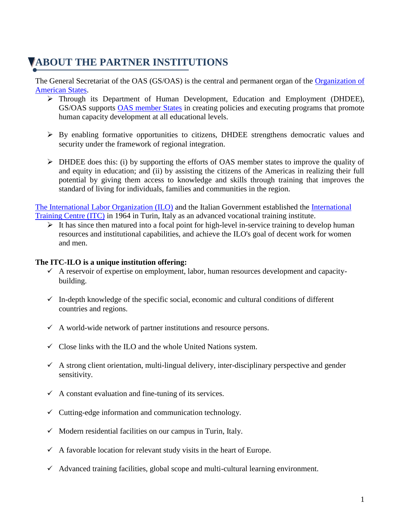# **VABOUT THE PARTNER INSTITUTIONS**

The General Secretariat of the OAS (GS/OAS) is the central and permanent organ of the [Organization of](http://www.oas.org/en/)  [American States.](http://www.oas.org/en/)

- Through its Department of Human Development, Education and Employment (DHDEE), GS/OAS supports [OAS member States](http://www.oas.org/en/member_states/default.asp) in creating policies and executing programs that promote human capacity development at all educational levels.
- By enabling formative opportunities to citizens, DHDEE strengthens democratic values and security under the framework of regional integration.
- $\triangleright$  DHDEE does this: (i) by supporting the efforts of OAS member states to improve the quality of and equity in education; and (ii) by assisting the citizens of the Americas in realizing their full potential by giving them access to knowledge and skills through training that improves the standard of living for individuals, families and communities in the region.

[The International Labor Organization \(ILO\)](http://www.ilo.org/global/lang--en/index.htm) and the Italian Government established the [International](http://www.itcilo.org/en)  [Training Centre \(ITC\)](http://www.itcilo.org/en) in 1964 in Turin, Italy as an advanced vocational training institute.

 $\triangleright$  It has since then matured into a focal point for high-level in-service training to develop human resources and institutional capabilities, and achieve the ILO's goal of decent work for women and men.

#### **The ITC-ILO is a unique institution offering:**

- $\checkmark$  A reservoir of expertise on employment, labor, human resources development and capacitybuilding.
- $\checkmark$  In-depth knowledge of the specific social, economic and cultural conditions of different countries and regions.
- $\checkmark$  A world-wide network of partner institutions and resource persons.
- $\checkmark$  Close links with the ILO and the whole United Nations system.
- $\checkmark$  A strong client orientation, multi-lingual delivery, inter-disciplinary perspective and gender sensitivity.
- $\checkmark$  A constant evaluation and fine-tuning of its services.
- $\checkmark$  Cutting-edge information and communication technology.
- $\checkmark$  Modern residential facilities on our campus in Turin, Italy.
- $\checkmark$  A favorable location for relevant study visits in the heart of Europe.
- $\checkmark$  Advanced training facilities, global scope and multi-cultural learning environment.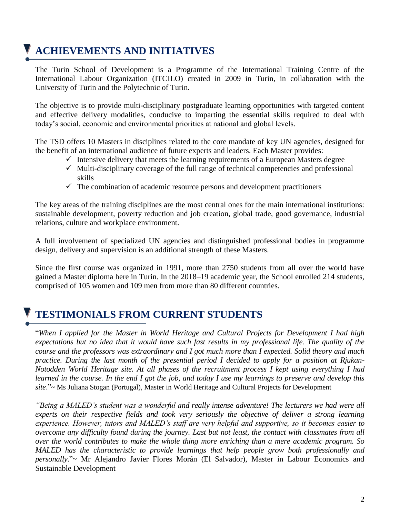# **ACHIEVEMENTS AND INITIATIVES**

The Turin School of Development is a Programme of the International Training Centre of the International Labour Organization (ITCILO) created in 2009 in Turin, in collaboration with the University of Turin and the Polytechnic of Turin.

The objective is to provide multi-disciplinary postgraduate learning opportunities with targeted content and effective delivery modalities, conducive to imparting the essential skills required to deal with today's social, economic and environmental priorities at national and global levels.

The TSD offers 10 Masters in disciplines related to the core mandate of key UN agencies, designed for the benefit of an international audience of future experts and leaders. Each Master provides:

- $\checkmark$  Intensive delivery that meets the learning requirements of a European Masters degree
- $\checkmark$  Multi-disciplinary coverage of the full range of technical competencies and professional skills
- $\checkmark$  The combination of academic resource persons and development practitioners

The key areas of the training disciplines are the most central ones for the main international institutions: sustainable development, poverty reduction and job creation, global trade, good governance, industrial relations, culture and workplace environment.

A full involvement of specialized UN agencies and distinguished professional bodies in programme design, delivery and supervision is an additional strength of these Masters.

Since the first course was organized in 1991, more than 2750 students from all over the world have gained a Master diploma here in Turin. In the 2018–19 academic year, the School enrolled 214 students, comprised of 105 women and 109 men from more than 80 different countries.

## **TESTIMONIALS FROM CURRENT STUDENTS**

"*When I applied for the Master in World Heritage and Cultural Projects for Development I had high expectations but no idea that it would have such fast results in my professional life. The quality of the course and the professors was extraordinary and I got much more than I expected. Solid theory and much practice. During the last month of the presential period I decided to apply for a position at Rjukan-Notodden World Heritage site. At all phases of the recruitment process I kept using everything I had learned in the course. In the end I got the job, and today I use my learnings to preserve and develop this site*."~ Ms Juliana Stogan (Portugal), Master in World Heritage and Cultural Projects for Development

*"Being a MALED's student was a wonderful and really intense adventure! The lecturers we had were all experts on their respective fields and took very seriously the objective of deliver a strong learning experience. However, tutors and MALED's staff are very helpful and supportive, so it becomes easier to overcome any difficulty found during the journey. Last but not least, the contact with classmates from all over the world contributes to make the whole thing more enriching than a mere academic program. So MALED has the characteristic to provide learnings that help people grow both professionally and personally*."~ Mr Alejandro Javier Flores Morán (El Salvador), Master in Labour Economics and Sustainable Development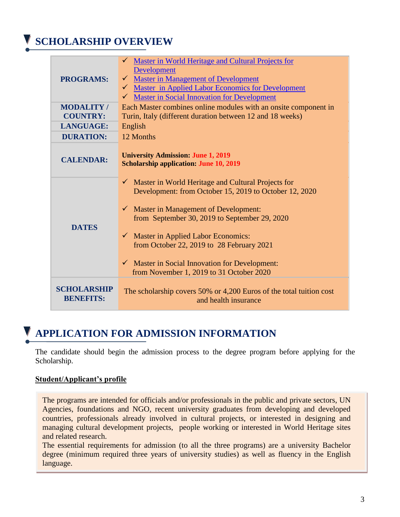# **SCHOLARSHIP OVERVIEW**

| <b>PROGRAMS:</b>                    | <b>Master in World Heritage and Cultural Projects for</b><br><b>Development</b><br>Master in Management of Development<br>$\checkmark$ Master in Applied Labor Economics for Development<br><b>Master in Social Innovation for Development</b>                                                                                                                                                                                           |
|-------------------------------------|------------------------------------------------------------------------------------------------------------------------------------------------------------------------------------------------------------------------------------------------------------------------------------------------------------------------------------------------------------------------------------------------------------------------------------------|
| <b>MODALITY/</b><br><b>COUNTRY:</b> | Each Master combines online modules with an onsite component in<br>Turin, Italy (different duration between 12 and 18 weeks)                                                                                                                                                                                                                                                                                                             |
| <b>LANGUAGE:</b>                    | English                                                                                                                                                                                                                                                                                                                                                                                                                                  |
| <b>DURATION:</b>                    | 12 Months                                                                                                                                                                                                                                                                                                                                                                                                                                |
| <b>CALENDAR:</b>                    | <b>University Admission: June 1, 2019</b><br><b>Scholarship application: June 10, 2019</b>                                                                                                                                                                                                                                                                                                                                               |
| <b>DATES</b>                        | $\checkmark$ Master in World Heritage and Cultural Projects for<br>Development: from October 15, 2019 to October 12, 2020<br>$\checkmark$ Master in Management of Development:<br>from September 30, 2019 to September 29, 2020<br>$\checkmark$ Master in Applied Labor Economics:<br>from October 22, 2019 to 28 February 2021<br>$\checkmark$ Master in Social Innovation for Development:<br>from November 1, 2019 to 31 October 2020 |
| SCHOLARSHIP<br><b>BENEFITS:</b>     | The scholarship covers 50% or 4,200 Euros of the total tuition cost<br>and health insurance                                                                                                                                                                                                                                                                                                                                              |

## **APPLICATION FOR ADMISSION INFORMATION**

The candidate should begin the admission process to the degree program before applying for the Scholarship.

#### **Student/Applicant's profile**

The programs are intended for officials and/or professionals in the public and private sectors, UN Agencies, foundations and NGO, recent university graduates from developing and developed countries, professionals already involved in cultural projects, or interested in designing and managing cultural development projects, people working or interested in World Heritage sites and related research.

The essential requirements for admission (to all the three programs) are a university Bachelor degree (minimum required three years of university studies) as well as fluency in the English language.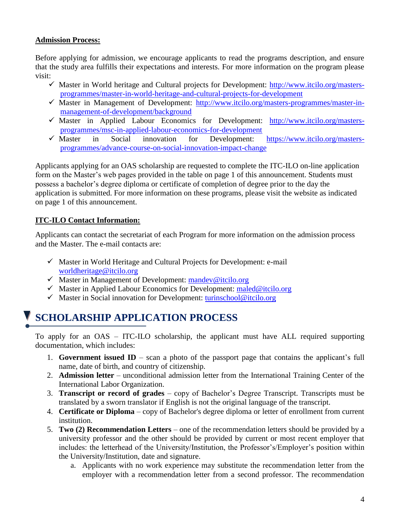### **Admission Process:**

Before applying for admission, we encourage applicants to read the programs description, and ensure that the study area fulfills their expectations and interests. For more information on the program please visit:

- $\checkmark$  Master in World heritage and Cultural projects for Development: [http://www.itcilo.org/masters](http://www.itcilo.org/masters-programmes/master-in-world-heritage-and-cultural-projects-for-development)[programmes/master-in-world-heritage-and-cultural-projects-for-development](http://www.itcilo.org/masters-programmes/master-in-world-heritage-and-cultural-projects-for-development)
- $\checkmark$  Master in Management of Development: [http://www.itcilo.org/masters-programmes/master-in](http://www.itcilo.org/masters-programmes/master-in-management-of-development/background)[management-of-development/background](http://www.itcilo.org/masters-programmes/master-in-management-of-development/background)
- $\checkmark$  Master in Applied Labour Economics for Development: [http://www.itcilo.org/masters](http://www.itcilo.org/masters-programmes/msc-in-applied-labour-economics-for-development)[programmes/msc-in-applied-labour-economics-for-development](http://www.itcilo.org/masters-programmes/msc-in-applied-labour-economics-for-development)
- $\checkmark$  Master in Social innovation for Development: [https://www.itcilo.org/masters](https://www.itcilo.org/masters-programmes/advance-course-on-social-innovation-impact-change)[programmes/advance-course-on-social-innovation-impact-change](https://www.itcilo.org/masters-programmes/advance-course-on-social-innovation-impact-change)

Applicants applying for an OAS scholarship are requested to complete the ITC-ILO on-line application form on the Master's web pages provided in the table on page 1 of this announcement. Students must possess a bachelor's degree diploma or certificate of completion of degree prior to the day the application is submitted. For more information on these programs, please visit the website as indicated on page 1 of this announcement.

### **ITC-ILO Contact Information:**

Applicants can contact the secretariat of each Program for more information on the admission process and the Master. The e-mail contacts are:

- $\checkmark$  Master in World Heritage and Cultural Projects for Development: e-mail [worldheritage@itcilo.org](mailto:worldheritage@itcilo.org)
- $\checkmark$  Master in Management of Development: [mandev@itcilo.org](mailto:mandev@itcilo.org)
- $\checkmark$  Master in Applied Labour Economics for Development: [maled@itcilo.org](mailto:maled@itcilo.org)
- $\checkmark$  Master in Social innovation for Development: [turinschool@itcilo.org](mailto:turinschool@itcilo.org)

## **SCHOLARSHIP APPLICATION PROCESS**

To apply for an OAS – ITC-ILO scholarship, the applicant must have ALL required supporting documentation, which includes:

- 1. **Government issued ID** scan a photo of the passport page that contains the applicant's full name, date of birth, and country of citizenship.
- 2. **Admission letter** unconditional admission letter from the International Training Center of the International Labor Organization.
- 3. **Transcript or record of grades** copy of Bachelor's Degree Transcript. Transcripts must be translated by a sworn translator if English is not the original language of the transcript.
- 4. **Certificate or Diploma** copy of Bachelor's degree diploma or letter of enrollment from current institution.
- 5. **Two (2) Recommendation Letters** one of the recommendation letters should be provided by a university professor and the other should be provided by current or most recent employer that includes: the letterhead of the University/Institution, the Professor's/Employer's position within the University/Institution, date and signature.
	- a. Applicants with no work experience may substitute the recommendation letter from the employer with a recommendation letter from a second professor. The recommendation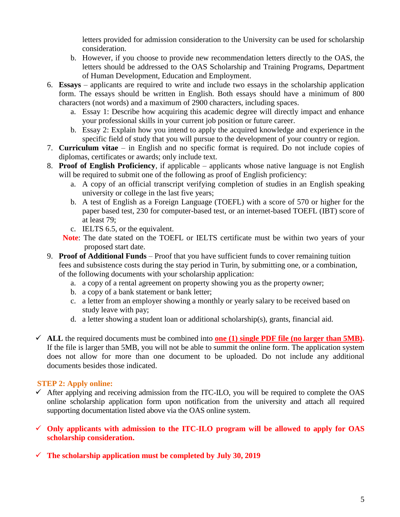letters provided for admission consideration to the University can be used for scholarship consideration.

- b. However, if you choose to provide new recommendation letters directly to the OAS, the letters should be addressed to the OAS Scholarship and Training Programs, Department of Human Development, Education and Employment.
- 6. **Essays** applicants are required to write and include two essays in the scholarship application form. The essays should be written in English. Both essays should have a minimum of 800 characters (not words) and a maximum of 2900 characters, including spaces.
	- a. Essay 1: Describe how acquiring this academic degree will directly impact and enhance your professional skills in your current job position or future career.
	- b. Essay 2: Explain how you intend to apply the acquired knowledge and experience in the specific field of study that you will pursue to the development of your country or region.
- 7. **Curriculum vitae** in English and no specific format is required. Do not include copies of diplomas, certificates or awards; only include text.
- 8. **Proof of English Proficiency**, if applicable applicants whose native language is not English will be required to submit one of the following as proof of English proficiency:
	- a. A copy of an official transcript verifying completion of studies in an English speaking university or college in the last five years;
	- b. A test of English as a Foreign Language (TOEFL) with a score of 570 or higher for the paper based test, 230 for computer-based test, or an internet-based TOEFL (IBT) score of at least 79;
	- c. IELTS 6.5, or the equivalent.
	- **Note**: The date stated on the TOEFL or IELTS certificate must be within two years of your proposed start date.
- 9. **Proof of Additional Funds** Proof that you have sufficient funds to cover remaining tuition fees and subsistence costs during the stay period in Turin, by submitting one, or a combination, of the following documents with your scholarship application:
	- a. a copy of a rental agreement on property showing you as the property owner;
	- b. a copy of a bank statement or bank letter;
	- c. a letter from an employer showing a monthly or yearly salary to be received based on study leave with pay;
	- d. a letter showing a student loan or additional scholarship(s), grants, financial aid.
- $\checkmark$  ALL the required documents must be combined into **one** (1) [single PDF file](https://acrobat.adobe.com/us/en/acrobat/how-to/merge-combine-pdf-files-online.html) (no larger than 5MB). If the file is larger than 5MB, you will not be able to summit the online form. The application system does not allow for more than one document to be uploaded. Do not include any additional documents besides those indicated.

### **STEP 2: Apply online:**

- $\checkmark$  After applying and receiving admission from the ITC-ILO, you will be required to complete the OAS online scholarship application form upon notification from the university and attach all required supporting documentation listed above via the OAS online system.
- **Only applicants with admission to the ITC-ILO program will be allowed to apply for OAS scholarship consideration.**
- **The scholarship application must be completed by July 30, 2019**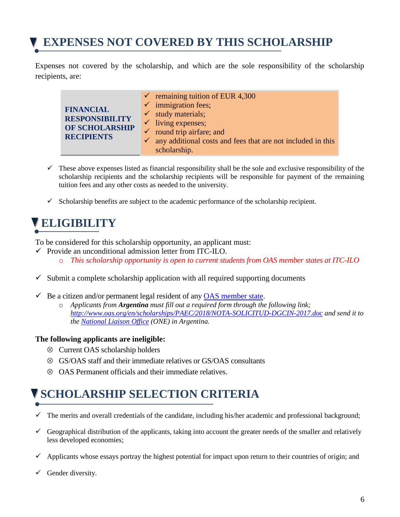# **EXPENSES NOT COVERED BY THIS SCHOLARSHIP**

Expenses not covered by the scholarship, and which are the sole responsibility of the scholarship recipients, are:

|                       | $\checkmark$ remaining tuition of EUR 4,300                              |
|-----------------------|--------------------------------------------------------------------------|
| <b>FINANCIAL</b>      | $\checkmark$ immigration fees;                                           |
| <b>RESPONSIBILITY</b> | $\checkmark$ study materials;                                            |
| OF SCHOLARSHIP        | $\checkmark$ living expenses;                                            |
| <b>RECIPIENTS</b>     | $\checkmark$ round trip airfare; and                                     |
|                       | $\checkmark$ any additional costs and fees that are not included in this |
|                       | scholarship.                                                             |

- $\checkmark$  These above expenses listed as financial responsibility shall be the sole and exclusive responsibility of the scholarship recipients and the scholarship recipients will be responsible for payment of the remaining tuition fees and any other costs as needed to the university.
- $\checkmark$  Scholarship benefits are subject to the academic performance of the scholarship recipient.

# **ELIGIBILITY**

To be considered for this scholarship opportunity, an applicant must:

- $\checkmark$  Provide an unconditional admission letter from ITC-ILO.
	- o *This scholarship opportunity is open to current students from OAS member states at ITC-ILO*
- $\checkmark$  Submit a complete scholarship application with all required supporting documents
- $\checkmark$  Be a citizen and/or permanent legal resident of any [OAS member state.](http://www.oas.org/en/member_states/default.asp)
	- o *Applicants from Argentina must fill out a required form through the following link; <http://www.oas.org/en/scholarships/PAEC/2018/NOTA-SOLICITUD-DGCIN-2017.doc> and send it to the [National Liaison Office](http://www.oas.org/en/scholarships/regularprogram/one.asp) (ONE) in Argentina.*

#### **The following applicants are ineligible:**

- Current OAS scholarship holders
- GS/OAS staff and their immediate relatives or GS/OAS consultants
- $\otimes$  OAS Permanent officials and their immediate relatives.

# **SCHOLARSHIP SELECTION CRITERIA**

- $\checkmark$  The merits and overall credentials of the candidate, including his/her academic and professional background;
- Geographical distribution of the applicants, taking into account the greater needs of the smaller and relatively less developed economies;
- $\checkmark$  Applicants whose essays portray the highest potential for impact upon return to their countries of origin; and
- $\checkmark$  Gender diversity.